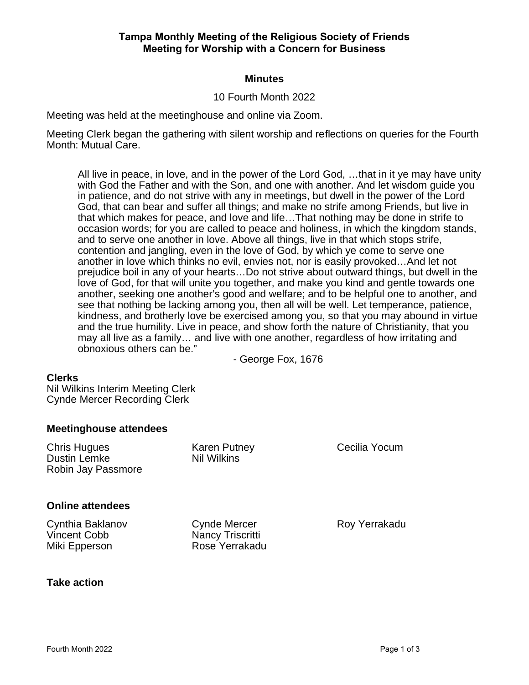## **Tampa Monthly Meeting of the Religious Society of Friends Meeting for Worship with a Concern for Business**

## **Minutes**

## 10 Fourth Month 2022

Meeting was held at the meetinghouse and online via Zoom.

Meeting Clerk began the gathering with silent worship and reflections on queries for the Fourth Month: Mutual Care.

All live in peace, in love, and in the power of the Lord God, …that in it ye may have unity with God the Father and with the Son, and one with another. And let wisdom quide you in patience, and do not strive with any in meetings, but dwell in the power of the Lord God, that can bear and suffer all things; and make no strife among Friends, but live in that which makes for peace, and love and life…That nothing may be done in strife to occasion words; for you are called to peace and holiness, in which the kingdom stands, and to serve one another in love. Above all things, live in that which stops strife, contention and jangling, even in the love of God, by which ye come to serve one another in love which thinks no evil, envies not, nor is easily provoked…And let not prejudice boil in any of your hearts…Do not strive about outward things, but dwell in the love of God, for that will unite you together, and make you kind and gentle towards one another, seeking one another's good and welfare; and to be helpful one to another, and see that nothing be lacking among you, then all will be well. Let temperance, patience, kindness, and brotherly love be exercised among you, so that you may abound in virtue and the true humility. Live in peace, and show forth the nature of Christianity, that you may all live as a family… and live with one another, regardless of how irritating and obnoxious others can be."

- George Fox, 1676

#### **Clerks**

Nil Wilkins Interim Meeting Clerk Cynde Mercer Recording Clerk

#### **Meetinghouse attendees**

| <b>Chris Hugues</b><br><b>Dustin Lemke</b><br>Robin Jay Passmore | <b>Karen Putney</b><br>Nil Wilkins                        | Cecilia Yocum |
|------------------------------------------------------------------|-----------------------------------------------------------|---------------|
| <b>Online attendees</b>                                          |                                                           |               |
| Cynthia Baklanov<br><b>Vincent Cobb</b><br>Miki Epperson         | <b>Cynde Mercer</b><br>Nancy Triscritti<br>Rose Yerrakadu | Roy Yerrakadu |

#### **Take action**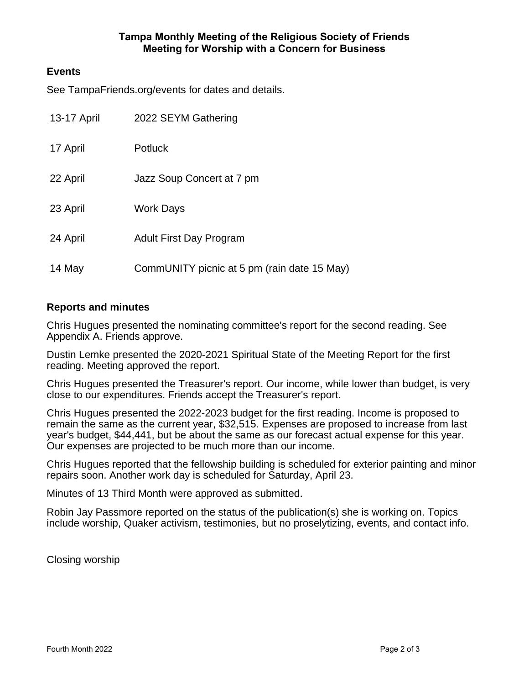## **Tampa Monthly Meeting of the Religious Society of Friends Meeting for Worship with a Concern for Business**

## **Events**

See TampaFriends.org/events for dates and details.

| 13-17 April | 2022 SEYM Gathering                         |
|-------------|---------------------------------------------|
| 17 April    | <b>Potluck</b>                              |
| 22 April    | Jazz Soup Concert at 7 pm                   |
| 23 April    | <b>Work Days</b>                            |
| 24 April    | <b>Adult First Day Program</b>              |
| 14 May      | CommUNITY picnic at 5 pm (rain date 15 May) |

## **Reports and minutes**

Chris Hugues presented the nominating committee's report for the second reading. See Appendix A. Friends approve.

Dustin Lemke presented the 2020-2021 Spiritual State of the Meeting Report for the first reading. Meeting approved the report.

Chris Hugues presented the Treasurer's report. Our income, while lower than budget, is very close to our expenditures. Friends accept the Treasurer's report.

Chris Hugues presented the 2022-2023 budget for the first reading. Income is proposed to remain the same as the current year, \$32,515. Expenses are proposed to increase from last year's budget, \$44,441, but be about the same as our forecast actual expense for this year. Our expenses are projected to be much more than our income.

Chris Hugues reported that the fellowship building is scheduled for exterior painting and minor repairs soon. Another work day is scheduled for Saturday, April 23.

Minutes of 13 Third Month were approved as submitted.

Robin Jay Passmore reported on the status of the publication(s) she is working on. Topics include worship, Quaker activism, testimonies, but no proselytizing, events, and contact info.

Closing worship